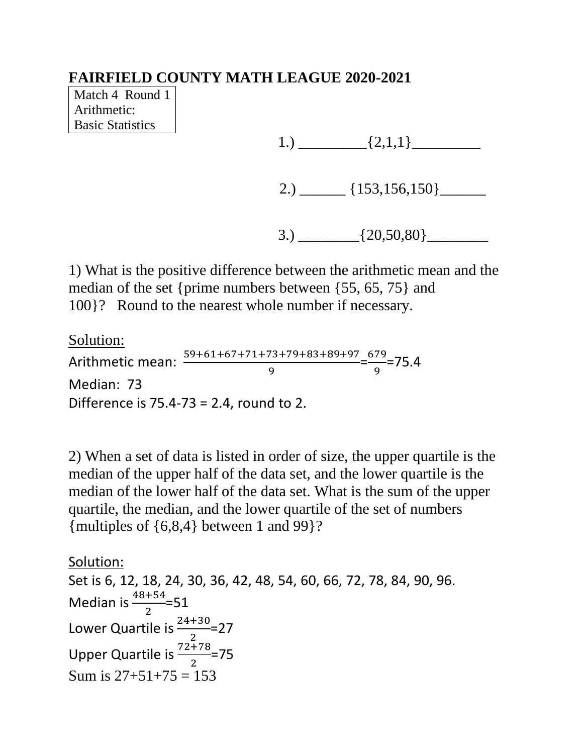Match 4 Round 1 Arithmetic: Basic Statistics

1.)  $\qquad \qquad \qquad \qquad$   $\qquad \qquad$   $\qquad \qquad$   $\qquad \qquad$   $\qquad \qquad$   $\qquad \qquad$   $\qquad \qquad$   $\qquad \qquad$   $\qquad \qquad$   $\qquad \qquad$   $\qquad$   $\qquad \qquad$   $\qquad$   $\qquad$   $\qquad$   $\qquad$   $\qquad$   $\qquad$   $\qquad$   $\qquad$   $\qquad$   $\qquad$   $\qquad$   $\qquad$   $\qquad$   $\qquad$   $\qquad$   $\qquad$   $\qquad$   $\qquad$ 

2.)  $\frac{153,156,150}$ 

3.)  $\{20,50,80\}$ 

1) What is the positive difference between the arithmetic mean and the median of the set {prime numbers between {55, 65, 75} and 100}? Round to the nearest whole number if necessary.

Solution:

Arithmetic mean:  $\frac{59+61+67+71+73+79+83+89+97}{9} = \frac{679}{9}$  $\frac{1}{9}$ =75.4 Median: 73 Difference is 75.4-73 = 2.4, round to 2.

2) When a set of data is listed in order of size, the upper quartile is the median of the upper half of the data set, and the lower quartile is the median of the lower half of the data set. What is the sum of the upper quartile, the median, and the lower quartile of the set of numbers {multiples of {6,8,4} between 1 and 99}?

Solution: Set is 6, 12, 18, 24, 30, 36, 42, 48, 54, 60, 66, 72, 78, 84, 90, 96. Median is  $\frac{48+54}{2} = 51$ Lower Quartile is  $\frac{24+30}{2}$ =27 Upper Quartile is  $\frac{72+78}{2}$ =75 Sum is  $27+51+75 = 153$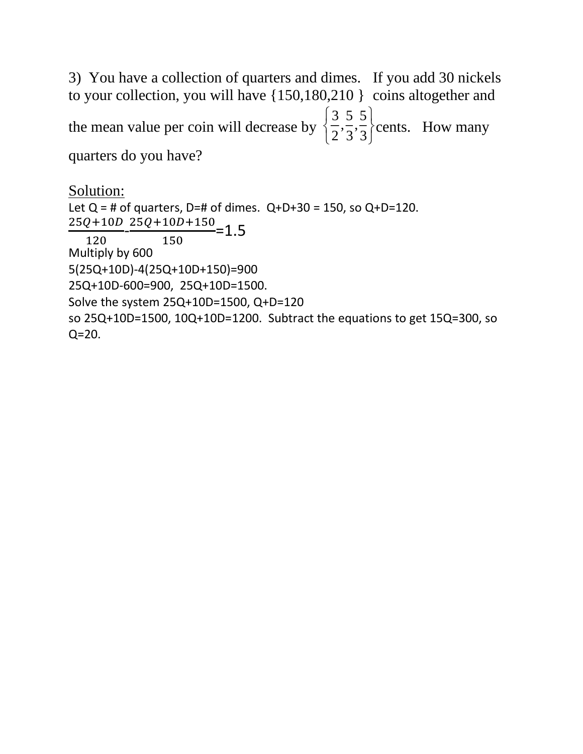3) You have a collection of quarters and dimes. If you add 30 nickels to your collection, you will have {150,180,210 } coins altogether and the mean value per coin will decrease by 3 2 , 5 3 , 5 3 ì í î  $\mathcal{I}$  $\bigg\}$ þ cents. How many quarters do you have?

```
Solution:
Let Q = # of quarters, D=# of dimes. Q+D+30 = 150, so Q+D=120.
\frac{25Q+10D}{120} - \frac{25Q+10D+150}{150} = 1.5120
                150
Multiply by 600
5(25Q+10D)-4(25Q+10D+150)=900
25Q+10D-600=900, 25Q+10D=1500.
Solve the system 25Q+10D=1500, Q+D=120
so 25Q+10D=1500, 10Q+10D=1200. Subtract the equations to get 15Q=300, so 
Q = 20.
```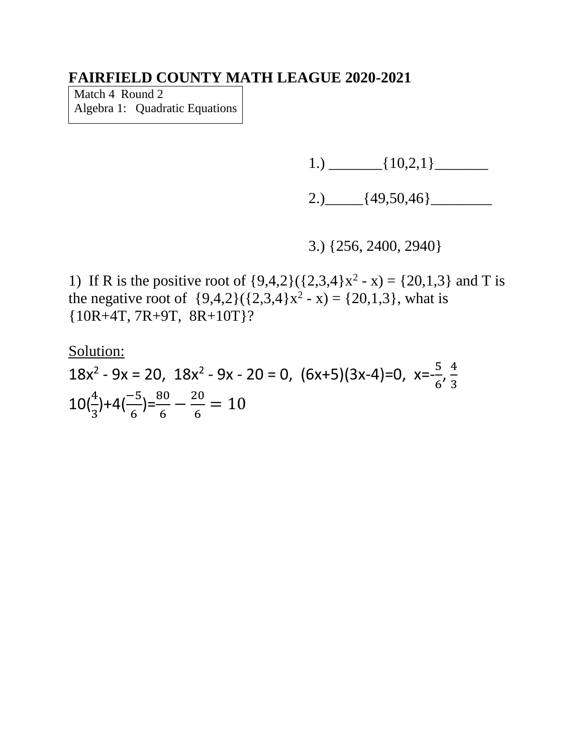Match 4 Round 2 Algebra 1: Quadratic Equations

 $1.) \_\_$  {10,2,1}  $\_\_$ 

2.)  $[49,50,46]$ 

3.) {256, 2400, 2940}

1) If R is the positive root of  $\{9,4,2\}(\{2,3,4\}x^2 - x) = \{20,1,3\}$  and T is the negative root of  $\{9,4,2\}(\{2,3,4\}x^2 - x) = \{20,1,3\}$ , what is {10R+4T, 7R+9T, 8R+10T}?

Solution:

 $18x^{2} - 9x = 20$ ,  $18x^{2} - 9x - 20 = 0$ ,  $(6x+5)(3x-4)=0$ ,  $x=\frac{5}{6}$  $\frac{5}{6}$ ,  $\frac{4}{3}$ 3  $10\left(\frac{4}{3}\right)+4\left(\frac{-5}{6}\right)=\frac{80}{6}-\frac{20}{6}$  $\frac{20}{6}$  = 10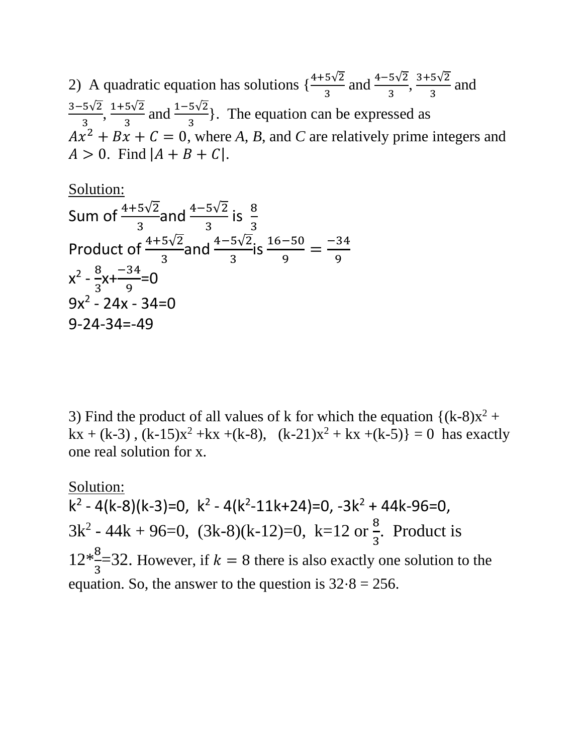2) A quadratic equation has solutions  $\{\frac{4+5\sqrt{2}}{3} \text{ and } \frac{4-5\sqrt{2}}{3}, \frac{3+5\sqrt{2}}{3}\}$  $rac{3v^2}{3}$  and 3−5√2  $\frac{5\sqrt{2}}{3}, \frac{1+5\sqrt{2}}{3}$  $\frac{5\sqrt{2}}{3}$  and  $\frac{1-5\sqrt{2}}{3}$ . The equation can be expressed as  $Ax^2 + Bx + C = 0$ , where A, B, and C are relatively prime integers and  $A > 0$ . Find  $|A + B + C|$ .

Solution:  
\nSum of 
$$
\frac{4+5\sqrt{2}}{3}
$$
 and  $\frac{4-5\sqrt{2}}{3}$  is  $\frac{8}{3}$   
\nProduct of  $\frac{4+5\sqrt{2}}{3}$  and  $\frac{4-5\sqrt{2}}{3}$  is  $\frac{16-50}{9} = \frac{-34}{9}$   
\n $x^2 - \frac{8}{3}x + \frac{-34}{9} = 0$   
\n $9x^2 - 24x - 34 = 0$   
\n9-24-34=-49

3) Find the product of all values of k for which the equation  $\{(k-8)x^2 +$  $kx + (k-3)$ ,  $(k-15)x^2 + kx + (k-8)$ ,  $(k-21)x^2 + kx + (k-5) = 0$  has exactly one real solution for x.

Solution:  $k^2 - 4(k-8)(k-3)=0$ ,  $k^2 - 4(k^2-11k+24)=0$ ,  $-3k^2 + 44k-96=0$ ,  $3k^2 - 44k + 96=0$ ,  $(3k-8)(k-12)=0$ ,  $k=12$  or  $\frac{8}{3}$ 3 . Product is  $12*\frac{8}{3}$ 3  $=$ 32. However, if  $k = 8$  there is also exactly one solution to the equation. So, the answer to the question is  $32.8 = 256$ .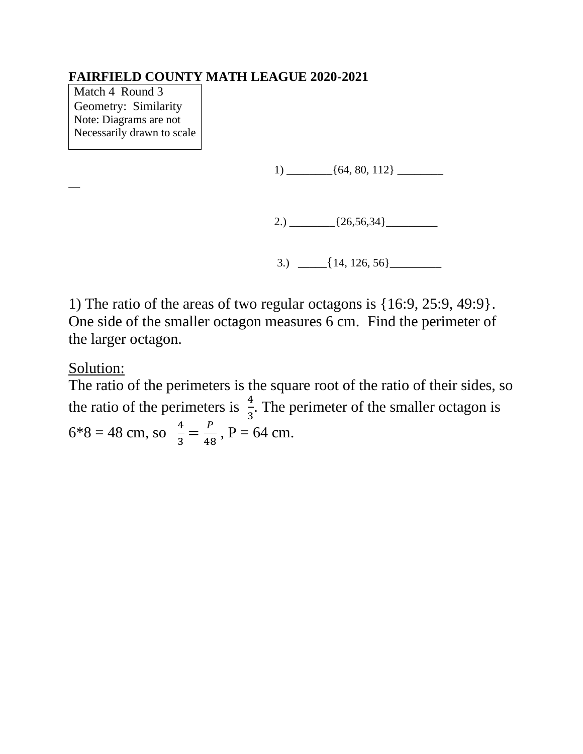Match 4 Round 3 Geometry: Similarity Note: Diagrams are not Necessarily drawn to scale

1) \_\_\_\_\_\_\_\_{64, 80, 112} \_\_\_\_\_\_\_\_

2.)  $\frac{26,56,34}{20}$ 

3.)  $\left[\frac{14, 126, 56\right]$ 

1) The ratio of the areas of two regular octagons is {16:9, 25:9, 49:9}. One side of the smaller octagon measures 6 cm. Find the perimeter of the larger octagon.

Solution:

 $\overline{\phantom{a}}$ 

The ratio of the perimeters is the square root of the ratio of their sides, so the ratio of the perimeters is  $\frac{4}{3}$ . The perimeter of the smaller octagon is  $6*8 = 48$  cm, so  $\frac{4}{3} = \frac{P}{48}$  $\frac{r}{48}$ , P = 64 cm.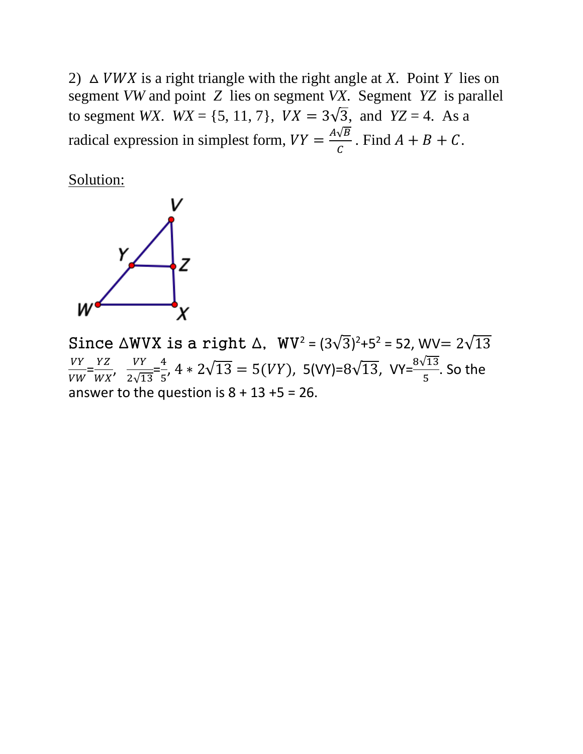2)  $\triangle$  *VWX* is a right triangle with the right angle at *X*. Point *Y* lies on segment *VW* and point *Z* lies on segment *VX*. Segment *YZ* is parallel to segment *WX*.  $WX = \{5, 11, 7\}$ ,  $VX = 3\sqrt{3}$ , and  $YZ = 4$ . As a radical expression in simplest form,  $VY = \frac{A\sqrt{B}}{C}$  $\frac{\sqrt{D}}{C}$ . Find  $A + B + C$ .

Solution:



Since  $\triangle$ WVX is a right  $\triangle$ , WV<sup>2</sup> =  $(3\sqrt{3})^2$ +5<sup>2</sup> = 52, WV=  $2\sqrt{13}$ VY  $\frac{VY}{VW} = \frac{YZ}{WX}$  $\frac{YZ}{WX}$ ,  $\frac{VY}{2\sqrt{1}}$  $\frac{VY}{2\sqrt{13}} = \frac{4}{5}$  $\frac{4}{5}$ , 4  $*$  2 $\sqrt{13}$  = 5(VY), 5(VY)=8 $\sqrt{13}$ , VY= $\frac{8\sqrt{13}}{5}$ . So the answer to the question is  $8 + 13 + 5 = 26$ .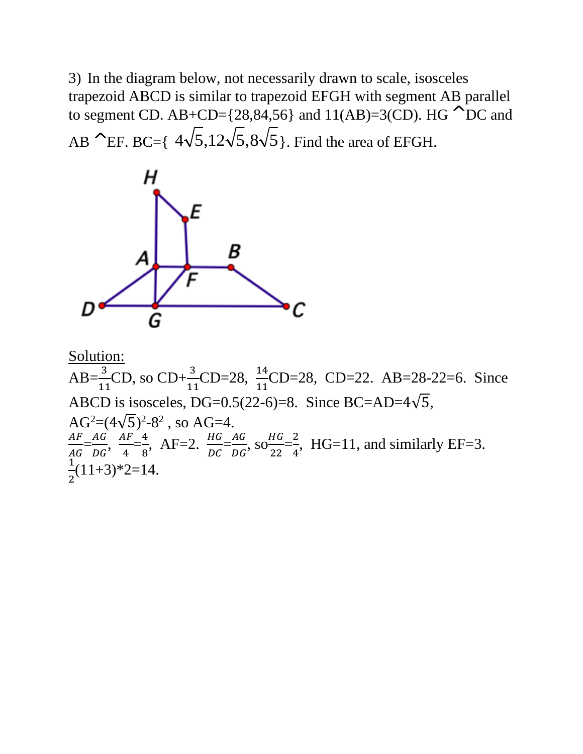3) In the diagram below, not necessarily drawn to scale, isosceles trapezoid ABCD is similar to trapezoid EFGH with segment AB parallel to segment CD. AB+CD= $\{28,84,56\}$  and  $11(AB)=3(CD)$ . HG  $\wedge$  DC and AB  $\wedge$  EF. BC={  $4\sqrt{5}$ ,12 $\sqrt{5}$ ,8 $\sqrt{5}$ }. Find the area of EFGH.



Solution:

AB= $\frac{3}{11}$ CD, so CD+ $\frac{3}{11}$ CD=28,  $\frac{14}{11}$ CD=28, CD=22. AB=28-22=6. Since ABCD is isosceles, DG=0.5(22-6)=8. Since BC=AD= $4\sqrt{5}$ ,  $AG^2=(4\sqrt{5})^2-8^2$ , so AG=4.  $AF$  $\frac{AF}{AG} = \frac{AG}{DG}$  $\frac{AG}{DG}$ ,  $\frac{AF}{4}$  $\frac{4F}{4} = \frac{4}{8}$  $\frac{4}{8}$ , AF=2.  $\frac{HG}{DC} = \frac{AG}{DG}$  $\frac{AG}{DG}$ , SO $\frac{HG}{22}$  $\frac{HG}{22} = \frac{2}{4}$  $\frac{2}{4}$ , HG=11, and similarly EF=3. 1  $\frac{1}{2}(11+3)*2=14.$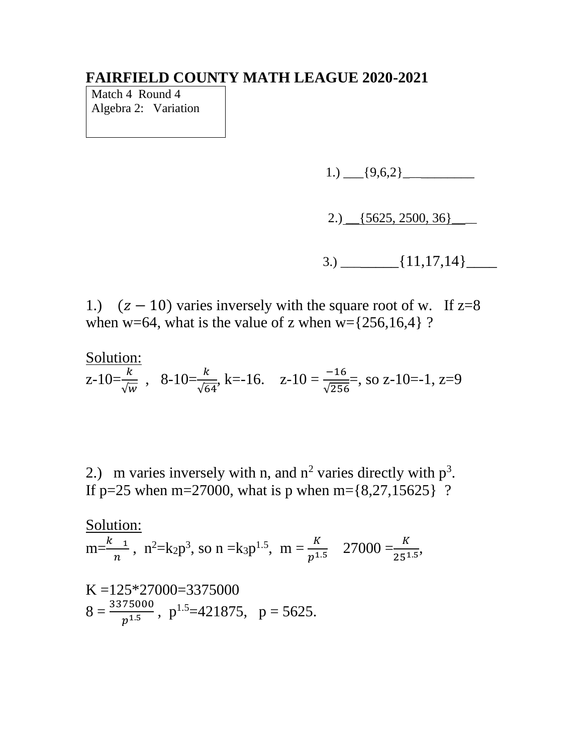Match 4 Round 4 Algebra 2: Variation

1.)  $[9,6,2]$ 

2.)  $\left[5625, 2500, 36\right]$ 

 $3.) \qquad \qquad \{11,17,14\}$ 

1.)  $(z - 10)$  varies inversely with the square root of w. If  $z=8$ when w=64, what is the value of z when  $w=[256,16,4]$  ?

Solution:  
z-10=
$$
\frac{k}{\sqrt{w}}
$$
, 8-10= $\frac{k}{\sqrt{64}}$ , k=-16. z-10= $\frac{-16}{\sqrt{256}}$ , so z-10=-1, z=9

2.) m varies inversely with n, and  $n^2$  varies directly with  $p^3$ . If p=25 when m=27000, what is p when m= $\{8,27,15625\}$  ?

Solution:  
\n
$$
m=\frac{k}{n^2}
$$
,  $n^2=k_2p^3$ , so  $n = k_3p^{1.5}$ ,  $m = \frac{k}{p^{1.5}}$  27000 =  $\frac{k}{25^{1.5}}$ ,  
\nK = 125\*27000=3375000  
\n8 =  $\frac{3375000}{p^{1.5}}$ ,  $p^{1.5}=421875$ ,  $p = 5625$ .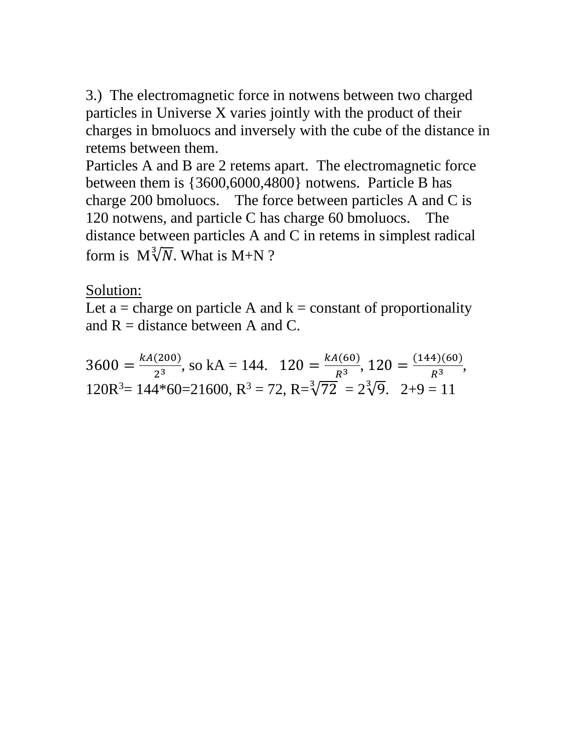3.) The electromagnetic force in notwens between two charged particles in Universe X varies jointly with the product of their charges in bmoluocs and inversely with the cube of the distance in retems between them.

Particles A and B are 2 retems apart. The electromagnetic force between them is {3600,6000,4800} notwens. Particle B has charge 200 bmoluocs. The force between particles A and C is 120 notwens, and particle C has charge 60 bmoluocs. The distance between particles A and C in retems in simplest radical form is  $M\sqrt[3]{N}$ . What is M+N ?

# Solution:

Let a = charge on particle A and  $k = constant$  of proportionality and  $R =$  distance between A and C.

 $3600 = \frac{kA(200)}{3^3}$  $\frac{(200)}{2^3}$ , so kA = 144.  $120 = \frac{kA(60)}{R^3}$  $\frac{A(60)}{R^3}$ , 120 =  $\frac{(144)(60)}{R^3}$  $\frac{47(60)}{R^3}$  $120R^3 = 144*60=21600$ ,  $R^3 = 72$ ,  $R = \sqrt[3]{72} = 2\sqrt[3]{9}$ .  $2+9 = 11$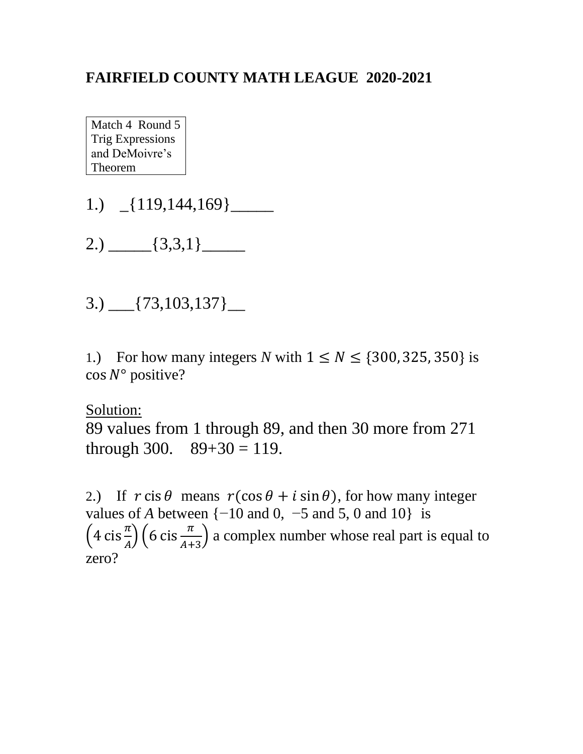Match 4 Round 5 Trig Expressions and DeMoivre's Theorem

- 1.) \_{119,144,169}\_\_\_\_\_
- $2.) \_\_$  {3,3,1}  $\_\_$
- $3.)$   $[73,103,137]$   $\_$

1.) For how many integers *N* with  $1 \leq N \leq \{300, 325, 350\}$  is  $\cos N^{\circ}$  positive?

Solution:

89 values from 1 through 89, and then 30 more from 271 through 300.  $89+30 = 119$ .

2.) If  $r \text{ cis } \theta$  means  $r(\cos \theta + i \sin \theta)$ , for how many integer values of *A* between  $\{-10 \text{ and } 0, -5 \text{ and } 5, 0 \text{ and } 10\}$  is  $\left(4 \operatorname{cis} \frac{\pi}{A}\right) \left(6 \operatorname{cis} \frac{\pi}{A+3}\right)$  a complex number whose real part is equal to zero?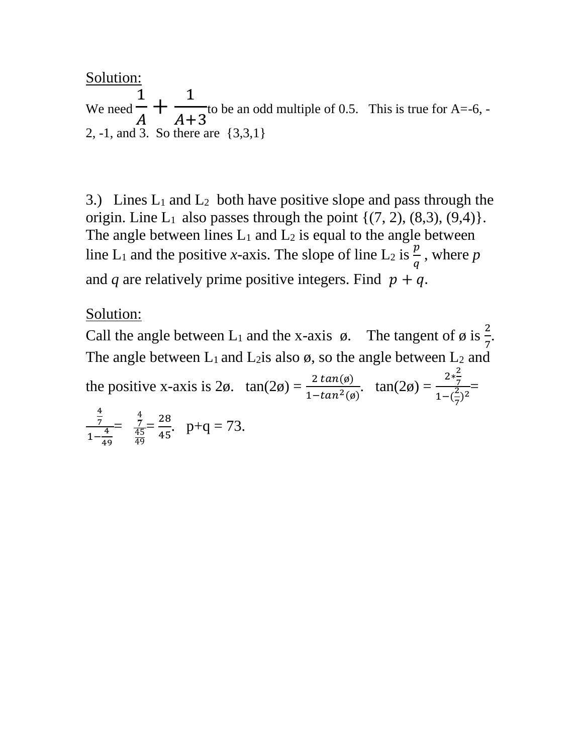Solution:

We need 1  $\overline{A}$  $+$ 1  $A+3$ to be an odd multiple of 0.5. This is true for A=-6, - 2, -1, and 3. So there are {3,3,1}

3.) Lines  $L_1$  and  $L_2$  both have positive slope and pass through the origin. Line  $L_1$  also passes through the point  $\{(7, 2), (8, 3), (9, 4)\}.$ The angle between lines  $L_1$  and  $L_2$  is equal to the angle between line L<sub>1</sub> and the positive *x*-axis. The slope of line L<sub>2</sub> is  $\frac{p}{q}$ , where p and *q* are relatively prime positive integers. Find  $p + q$ .

## Solution:

Call the angle between L<sub>1</sub> and the x-axis  $\phi$ . The tangent of  $\phi$  is  $\frac{2}{7}$ . The angle between  $L_1$  and  $L_2$  is also  $\emptyset$ , so the angle between  $L_2$  and

the positive x-axis is  $2\phi$ .  $\tan(2\phi) = \frac{2 \tan(\phi)}{1-\tan^2(\phi)}$ .  $\tan(2\phi) =$  $2*\frac{2}{7}$ 7  $1-(\frac{2}{7})$  $\frac{7}{2(2)}$  = 4 7  $1-\frac{4}{4}$ 49 = 4 7 45 49  $=\frac{28}{15}$  $\frac{28}{45}$ . p+q = 73.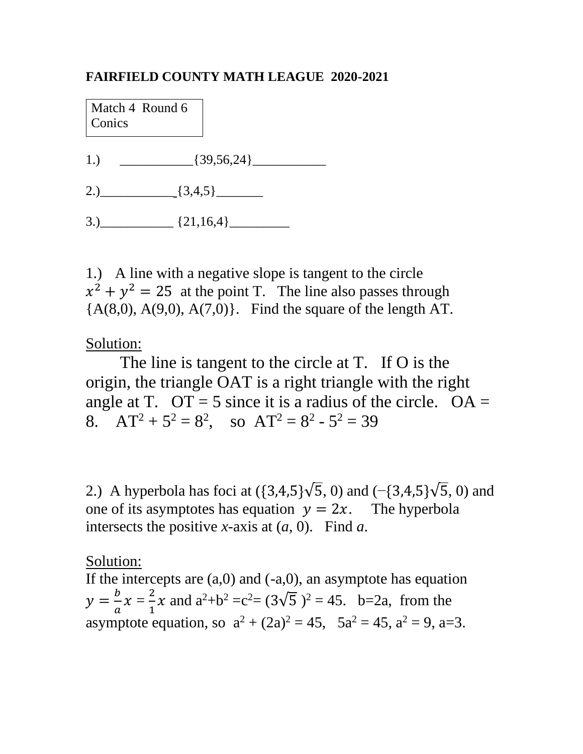Match 4 Round 6 **Conics** 

- 1.)  ${39,56,24}$
- 2.)  $[3,4,5]$
- $3.)$   $(21,16,4)$

1.) A line with a negative slope is tangent to the circle  $x^2 + y^2 = 25$  at the point T. The line also passes through  ${A(8,0), A(9,0), A(7,0)}.$  Find the square of the length AT.

## Solution:

The line is tangent to the circle at T. If O is the origin, the triangle OAT is a right triangle with the right angle at T.  $OT = 5$  since it is a radius of the circle.  $OA =$ 8.  $AT^2 + 5^2 = 8^2$ , so  $AT^2 = 8^2 - 5^2 = 39$ 

2.) A hyperbola has foci at  $({3,4,5}\sqrt{5}, 0)$  and  $({-}{{3,4,5}}\sqrt{5}, 0)$  and one of its asymptotes has equation  $y = 2x$ . The hyperbola intersects the positive *x*-axis at (*a*, 0). Find *a*.

## Solution:

If the intercepts are  $(a,0)$  and  $(-a,0)$ , an asymptote has equation  $y=\frac{b}{a}$  $\frac{b}{a}x=\frac{2}{1}$  $\frac{2}{1}x$  and  $a^2+b^2 = c^2 = (3\sqrt{5})^2 = 45$ . b=2a, from the asymptote equation, so  $a^2 + (2a)^2 = 45$ ,  $5a^2 = 45$ ,  $a^2 = 9$ , a=3.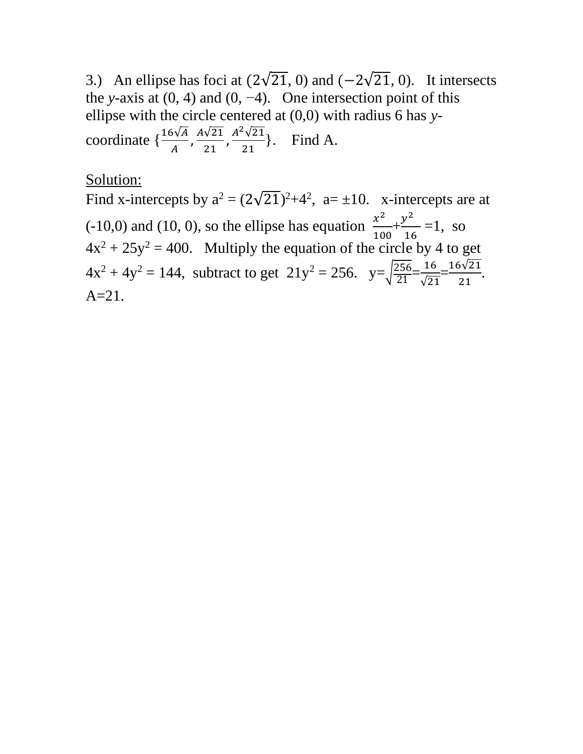3.) An ellipse has foci at  $(2\sqrt{21}, 0)$  and  $(-2\sqrt{21}, 0)$ . It intersects the *y*-axis at  $(0, 4)$  and  $(0, -4)$ . One intersection point of this ellipse with the circle centered at (0,0) with radius 6 has *y*coordinate  $\{\frac{16\sqrt{A}}{A}, \frac{A\sqrt{21}}{21}\}$  $\frac{\sqrt{21}}{21}, \frac{A^2\sqrt{21}}{21}$  $\frac{\sqrt{21}}{21}$ . Find A.

#### Solution:

Find x-intercepts by  $a^2 = (2\sqrt{21})^2 + 4^2$ ,  $a = \pm 10$ . x-intercepts are at  $(10,0)$  and  $(10, 0)$ , so the ellipse has equation  $\frac{x^2}{40}$  $\frac{x^2}{100} + \frac{y^2}{16}$  $\frac{1}{16}$  = 1, so  $4x^2 + 25y^2 = 400$ . Multiply the equation of the circle by 4 to get  $4x^2 + 4y^2 = 144$ , subtract to get  $21y^2 = 256$ .  $y = \sqrt{\frac{256}{21}} = \frac{16}{\sqrt{21}}$ √21  $=\frac{16\sqrt{21}}{24}$  $\frac{21}{21}$ .  $A=21.$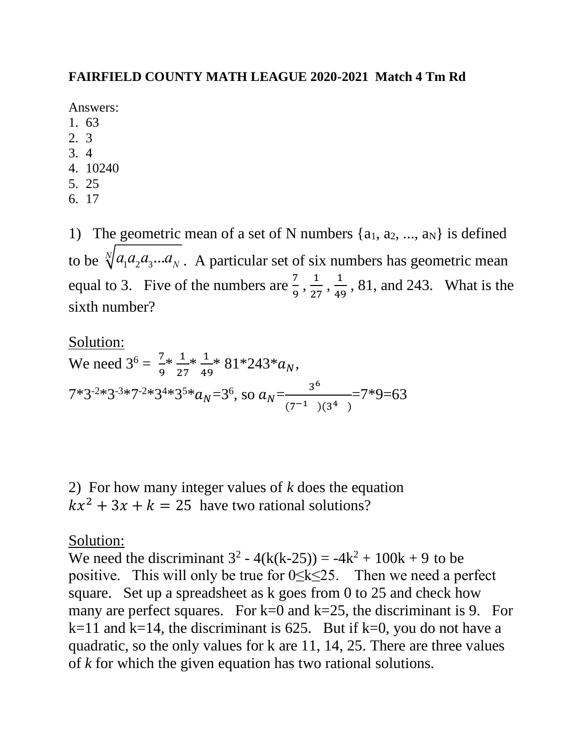#### **FAIRFIELD COUNTY MATH LEAGUE 2020-2021 Match 4 Tm Rd**

Answers:

- 1. 63
- 2. 3
- 3. 4
- 4. 10240
- 5. 25
- 6. 17

1) The geometric mean of a set of N numbers  $\{a_1, a_2, ..., a_N\}$  is defined to be  $\sqrt[n]{a_1 a_2 a_3 ... a_N}$ . A particular set of six numbers has geometric mean equal to 3. Five of the numbers are  $\frac{7}{9}$ ,  $\frac{1}{25}$  $\frac{1}{27}, \frac{1}{49}$  $\frac{1}{49}$ , 81, and 243. What is the sixth number?

Solution: We need  $3^6 = \frac{7}{6}$  $\frac{7}{9}$   $\frac{1}{27}$   $\frac{1}{49}$   $\frac{81 \times 243}{43}$   $a_N$ ,  $7*3^{-2}*3^{-3}*7^{-2}*3^{4}*3^{5}*a_N=3^6$ , so  $a_N=\frac{3^6}{(7-1)}$  $(7^{-1})$  $(3^4)$  $=7*9=63$ 

2) For how many integer values of *k* does the equation  $kx^2 + 3x + k = 25$  have two rational solutions?

## Solution:

We need the discriminant  $3^2 - 4(k(k-25)) = -4k^2 + 100k + 9$  to be positive. This will only be true for 0≤k≤25. Then we need a perfect square. Set up a spreadsheet as k goes from 0 to 25 and check how many are perfect squares. For  $k=0$  and  $k=25$ , the discriminant is 9. For  $k=11$  and  $k=14$ , the discriminant is 625. But if  $k=0$ , you do not have a quadratic, so the only values for k are 11, 14, 25. There are three values of *k* for which the given equation has two rational solutions.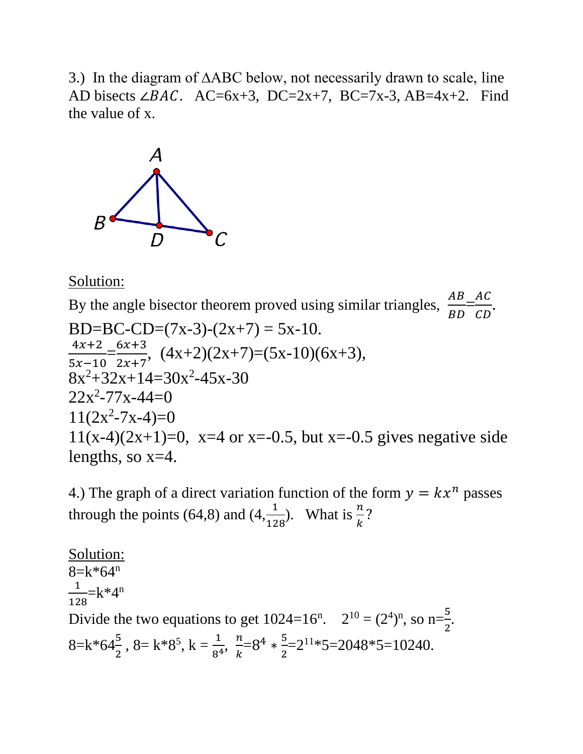3.) In the diagram of ∆ABC below, not necessarily drawn to scale, line AD bisects ∠*BAC*. AC=6x+3, DC=2x+7, BC=7x-3, AB=4x+2. Find the value of x.



Solution:

By the angle bisector theorem proved using similar triangles,  $\frac{AB}{BD}$ B<sub>D</sub>  $\frac{AC}{CD}$  $CD$ . BD=BC-CD= $(7x-3)-(2x+7) = 5x-10$ .  $4x+2$  $5x-10$  $=\frac{6x+3}{3x+7}$  $2x + 7$  $, (4x+2)(2x+7)=(5x-10)(6x+3),$  $8x^2+32x+14=30x^2-45x-30$  $22x^2 - 77x - 44 = 0$  $11(2x^2 - 7x - 4) = 0$ 11(x-4)(2x+1)=0, x=4 or x=-0.5, but x=-0.5 gives negative side lengths, so  $x=4$ .

4.) The graph of a direct variation function of the form  $y = kx^n$  passes through the points (64,8) and (4, $\frac{1}{128}$ ). What is  $\frac{n}{k}$ ?

Solution:  $8=k*64^n$ 1  $\frac{1}{128}$ =k\*4<sup>n</sup> Divide the two equations to get  $1024=16^n$ .  $2^{10} = (2^4)^n$ , so n= $\frac{5}{3}$  $\frac{5}{2}$ .  $8=k*64\frac{5}{2}$ ,  $8=k*8^5$ ,  $k=\frac{1}{8^4}$ ,  $\frac{n}{k}$  $\frac{n}{k} = 8^4 * \frac{5}{2}$  $\frac{5}{2}$ =2<sup>11\*</sup>5=2048\*5=10240.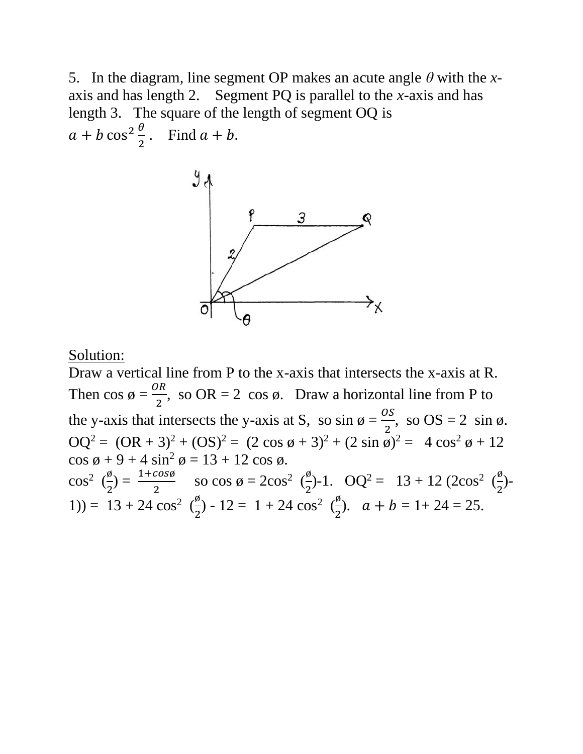5. In the diagram, line segment OP makes an acute angle *θ* with the *x*axis and has length 2. Segment PQ is parallel to the *x*-axis and has length 3. The square of the length of segment OQ is  $a + b \cos^2 \frac{\theta}{2}$  $\frac{b}{2}$ . Find  $a + b$ .



Solution:

Draw a vertical line from P to the x-axis that intersects the x-axis at R. Then  $\cos \phi = \frac{OR}{2}$ , so  $OR = 2 \cos \phi$ . Draw a horizontal line from P to the y-axis that intersects the y-axis at S, so  $\sin \phi = \frac{os}{2}$ , so  $OS = 2 \sin \phi$ .  $OQ^{2} = (OR + 3)^{2} + (OS)^{2} = (2 \cos \phi + 3)^{2} + (2 \sin \phi)^{2} = 4 \cos^{2} \phi + 12$  $\cos \phi + 9 + 4 \sin^2 \phi = 13 + 12 \cos \phi.$  $\cos^2(\frac{\emptyset}{2})$  $\frac{\cancel{0}}{2}$ ) =  $\frac{1+cos\cancel{0}}{2}$  so cos  $\cancel{0}$  = 2cos<sup>2</sup> ( $\frac{\cancel{0}}{2}$  $\frac{\cancel{0}}{2}$ )-1.  $\text{OQ}^2 = 13 + 12 \cdot (2\cos^2 \left(\frac{\cancel{0}}{2}\right))$  $\frac{9}{2}$ )-1) =  $13 + 24 \cos^2(\frac{\phi}{2})$  $\frac{\cancel{0}}{2}$ ) - 12 = 1 + 24 cos<sup>2</sup> ( $\frac{\cancel{0}}{2}$  $\frac{b}{2}$ ).  $a + b = 1 + 24 = 25$ .